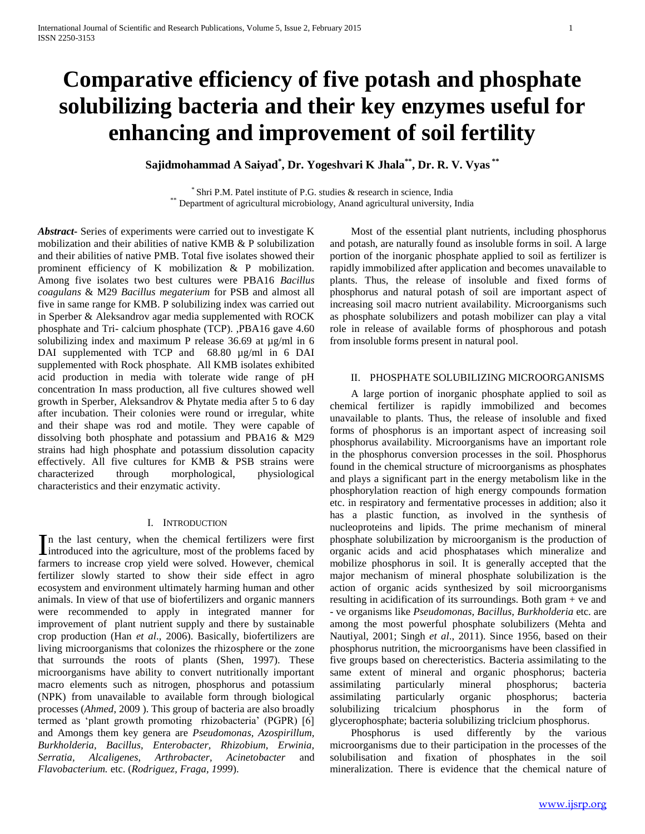# **Comparative efficiency of five potash and phosphate solubilizing bacteria and their key enzymes useful for enhancing and improvement of soil fertility**

**Sajidmohammad A Saiyad\* , Dr. Yogeshvari K Jhala\*\*, Dr. R. V. Vyas \*\***

\* Shri P.M. Patel institute of P.G. studies & research in science, India \*\* Department of agricultural microbiology, Anand agricultural university, India

*Abstract***-** Series of experiments were carried out to investigate K mobilization and their abilities of native KMB & P solubilization and their abilities of native PMB. Total five isolates showed their prominent efficiency of K mobilization & P mobilization. Among five isolates two best cultures were PBA16 *Bacillus coagulans* & M29 *Bacillus megaterium* for PSB and almost all five in same range for KMB. P solubilizing index was carried out in Sperber & Aleksandrov agar media supplemented with ROCK phosphate and Tri- calcium phosphate (TCP). ,PBA16 gave 4.60 solubilizing index and maximum P release  $36.69$  at  $\mu$ g/ml in 6 DAI supplemented with TCP and 68.80 µg/ml in 6 DAI supplemented with Rock phosphate. All KMB isolates exhibited acid production in media with tolerate wide range of pH concentration In mass production, all five cultures showed well growth in Sperber, Aleksandrov & Phytate media after 5 to 6 day after incubation. Their colonies were round or irregular, white and their shape was rod and motile. They were capable of dissolving both phosphate and potassium and PBA16 & M29 strains had high phosphate and potassium dissolution capacity effectively. All five cultures for KMB & PSB strains were characterized through morphological, physiological characteristics and their enzymatic activity.

#### I. INTRODUCTION

n the last century, when the chemical fertilizers were first In the last century, when the chemical fertilizers were first introduced into the agriculture, most of the problems faced by farmers to increase crop yield were solved. However, chemical fertilizer slowly started to show their side effect in agro ecosystem and environment ultimately harming human and other animals. In view of that use of biofertilizers and organic manners were recommended to apply in integrated manner for improvement of plant nutrient supply and there by sustainable crop production (Han *et al*., 2006). Basically, biofertilizers are living microorganisms that colonizes the rhizosphere or the zone that surrounds the roots of plants (Shen, 1997). These microorganisms have ability to convert nutritionally important macro elements such as nitrogen, phosphorus and potassium (NPK) from unavailable to available form through biological processes (*Ahmed*, 2009 ). This group of bacteria are also broadly termed as 'plant growth promoting rhizobacteria' (PGPR) [6] and Amongs them key genera are *Pseudomonas, Azospirillum, Burkholderia, Bacillus, Enterobacter, Rhizobium, Erwinia, Serratia, Alcaligenes, Arthrobacter, Acinetobacter* and *Flavobacterium.* etc. (*Rodriguez, Fraga, 1999*).

 Most of the essential plant nutrients, including phosphorus and potash, are naturally found as insoluble forms in soil. A large portion of the inorganic phosphate applied to soil as fertilizer is rapidly immobilized after application and becomes unavailable to plants. Thus, the release of insoluble and fixed forms of phosphorus and natural potash of soil are important aspect of increasing soil macro nutrient availability. Microorganisms such as phosphate solubilizers and potash mobilizer can play a vital role in release of available forms of phosphorous and potash from insoluble forms present in natural pool.

#### II. PHOSPHATE SOLUBILIZING MICROORGANISMS

 A large portion of inorganic phosphate applied to soil as chemical fertilizer is rapidly immobilized and becomes unavailable to plants. Thus, the release of insoluble and fixed forms of phosphorus is an important aspect of increasing soil phosphorus availability. Microorganisms have an important role in the phosphorus conversion processes in the soil. Phosphorus found in the chemical structure of microorganisms as phosphates and plays a significant part in the energy metabolism like in the phosphorylation reaction of high energy compounds formation etc. in respiratory and fermentative processes in addition; also it has a plastic function, as involved in the synthesis of nucleoproteins and lipids. The prime mechanism of mineral phosphate solubilization by microorganism is the production of organic acids and acid phosphatases which mineralize and mobilize phosphorus in soil. It is generally accepted that the major mechanism of mineral phosphate solubilization is the action of organic acids synthesized by soil microorganisms resulting in acidification of its surroundings. Both gram + ve and - ve organisms like *Pseudomonas, Bacillus, Burkholderia* etc. are among the most powerful phosphate solubilizers (Mehta and Nautiyal, 2001; Singh *et al*., 2011). Since 1956, based on their phosphorus nutrition, the microorganisms have been classified in five groups based on cherecteristics. Bacteria assimilating to the same extent of mineral and organic phosphorus; bacteria assimilating particularly mineral phosphorus; bacteria assimilating particularly organic phosphorus; bacteria solubilizing tricalcium phosphorus in the form of glycerophosphate; bacteria solubilizing triclcium phosphorus.

 Phosphorus is used differently by the various microorganisms due to their participation in the processes of the solubilisation and fixation of phosphates in the soil mineralization. There is evidence that the chemical nature of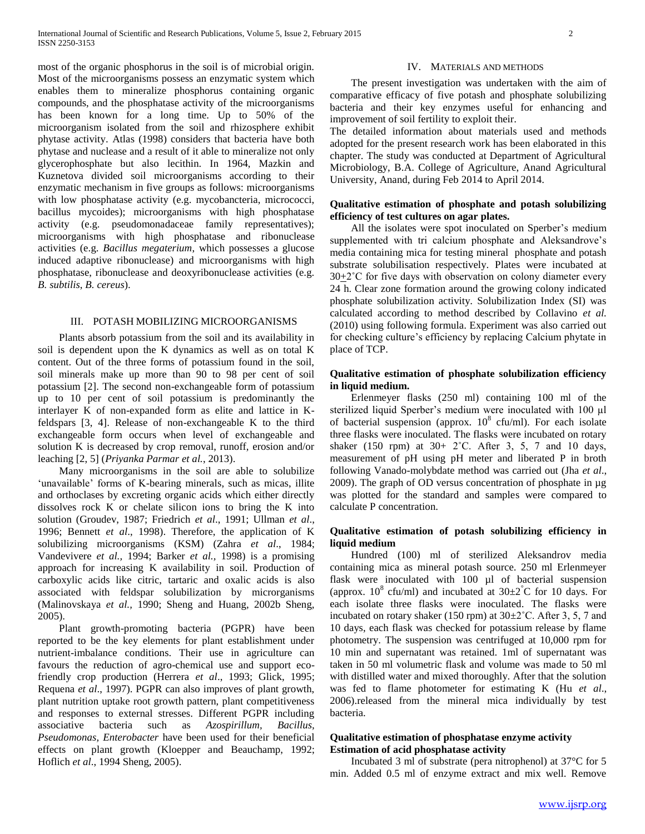most of the organic phosphorus in the soil is of microbial origin. Most of the microorganisms possess an enzymatic system which enables them to mineralize phosphorus containing organic compounds, and the phosphatase activity of the microorganisms has been known for a long time. Up to 50% of the microorganism isolated from the soil and rhizosphere exhibit phytase activity. Atlas (1998) considers that bacteria have both phytase and nuclease and a result of it able to mineralize not only glycerophosphate but also lecithin. In 1964, Mazkin and Kuznetova divided soil microorganisms according to their enzymatic mechanism in five groups as follows: microorganisms with low phosphatase activity (e.g. mycobancteria, micrococci, bacillus mycoides); microorganisms with high phosphatase activity (e.g. pseudomonadaceae family representatives); microorganisms with high phosphatase and ribonuclease activities (e.g. *Bacillus megaterium*, which possesses a glucose induced adaptive ribonuclease) and microorganisms with high phosphatase, ribonuclease and deoxyribonuclease activities (e.g. *B. subtilis*, *B. cereus*).

#### III. POTASH MOBILIZING MICROORGANISMS

 Plants absorb potassium from the soil and its availability in soil is dependent upon the K dynamics as well as on total K content. Out of the three forms of potassium found in the soil, soil minerals make up more than 90 to 98 per cent of soil potassium [2]. The second non-exchangeable form of potassium up to 10 per cent of soil potassium is predominantly the interlayer K of non-expanded form as elite and lattice in Kfeldspars [3, 4]. Release of non-exchangeable K to the third exchangeable form occurs when level of exchangeable and solution K is decreased by crop removal, runoff, erosion and/or leaching [2, 5] (*Priyanka Parmar et al.*, 2013).

 Many microorganisms in the soil are able to solubilize 'unavailable' forms of K-bearing minerals, such as micas, illite and orthoclases by excreting organic acids which either directly dissolves rock K or chelate silicon ions to bring the K into solution (Groudev, 1987; Friedrich *et al*., 1991; Ullman *et al*., 1996; Bennett *et al*., 1998). Therefore, the application of K solubilizing microorganisms (KSM) (Zahra *et al*., 1984; Vandevivere *et al.,* 1994; Barker *et al.,* 1998) is a promising approach for increasing K availability in soil. Production of carboxylic acids like citric, tartaric and oxalic acids is also associated with feldspar solubilization by microrganisms (Malinovskaya *et al.,* 1990; Sheng and Huang, 2002b Sheng, 2005).

 Plant growth-promoting bacteria (PGPR) have been reported to be the key elements for plant establishment under nutrient-imbalance conditions. Their use in agriculture can favours the reduction of agro-chemical use and support ecofriendly crop production (Herrera *et al*., 1993; Glick, 1995; Requena *et al*., 1997). PGPR can also improves of plant growth, plant nutrition uptake root growth pattern, plant competitiveness and responses to external stresses. Different PGPR including associative bacteria such as *Azospirillum, Bacillus, Pseudomonas, Enterobacter* have been used for their beneficial effects on plant growth (Kloepper and Beauchamp, 1992; Hoflich *et al*., 1994 Sheng, 2005).

#### IV. MATERIALS AND METHODS

 The present investigation was undertaken with the aim of comparative efficacy of five potash and phosphate solubilizing bacteria and their key enzymes useful for enhancing and improvement of soil fertility to exploit their.

The detailed information about materials used and methods adopted for the present research work has been elaborated in this chapter. The study was conducted at Department of Agricultural Microbiology, B.A. College of Agriculture, Anand Agricultural University, Anand, during Feb 2014 to April 2014.

## **Qualitative estimation of phosphate and potash solubilizing efficiency of test cultures on agar plates.**

 All the isolates were spot inoculated on Sperber's medium supplemented with tri calcium phosphate and Aleksandrove's media containing mica for testing mineral phosphate and potash substrate solubilisation respectively. Plates were incubated at  $30+2^{\circ}$ C for five days with observation on colony diameter every 24 h. Clear zone formation around the growing colony indicated phosphate solubilization activity. Solubilization Index (SI) was calculated according to method described by Collavino *et al.* (2010) using following formula. Experiment was also carried out for checking culture's efficiency by replacing Calcium phytate in place of TCP.

## **Qualitative estimation of phosphate solubilization efficiency in liquid medium.**

 Erlenmeyer flasks (250 ml) containing 100 ml of the sterilized liquid Sperber's medium were inoculated with 100 µl of bacterial suspension (approx.  $10^8$  cfu/ml). For each isolate three flasks were inoculated. The flasks were incubated on rotary shaker (150 rpm) at  $30+2$ °C. After 3, 5, 7 and 10 days, measurement of pH using pH meter and liberated P in broth following Vanado-molybdate method was carried out (Jha *et al*., 2009). The graph of OD versus concentration of phosphate in µg was plotted for the standard and samples were compared to calculate P concentration.

### **Qualitative estimation of potash solubilizing efficiency in liquid medium**

 Hundred (100) ml of sterilized Aleksandrov media containing mica as mineral potash source. 250 ml Erlenmeyer flask were inoculated with 100 µl of bacterial suspension (approx.  $10^8$  cfu/ml) and incubated at  $30\pm2^{\circ}$ C for 10 days. For each isolate three flasks were inoculated. The flasks were incubated on rotary shaker (150 rpm) at  $30\pm2^{\circ}$ C. After 3, 5, 7 and 10 days, each flask was checked for potassium release by flame photometry. The suspension was centrifuged at 10,000 rpm for 10 min and supernatant was retained. 1ml of supernatant was taken in 50 ml volumetric flask and volume was made to 50 ml with distilled water and mixed thoroughly. After that the solution was fed to flame photometer for estimating K (Hu *et al*., 2006).released from the mineral mica individually by test bacteria.

#### **Qualitative estimation of phosphatase enzyme activity Estimation of acid phosphatase activity**

 Incubated 3 ml of substrate (pera nitrophenol) at 37°C for 5 min. Added 0.5 ml of enzyme extract and mix well. Remove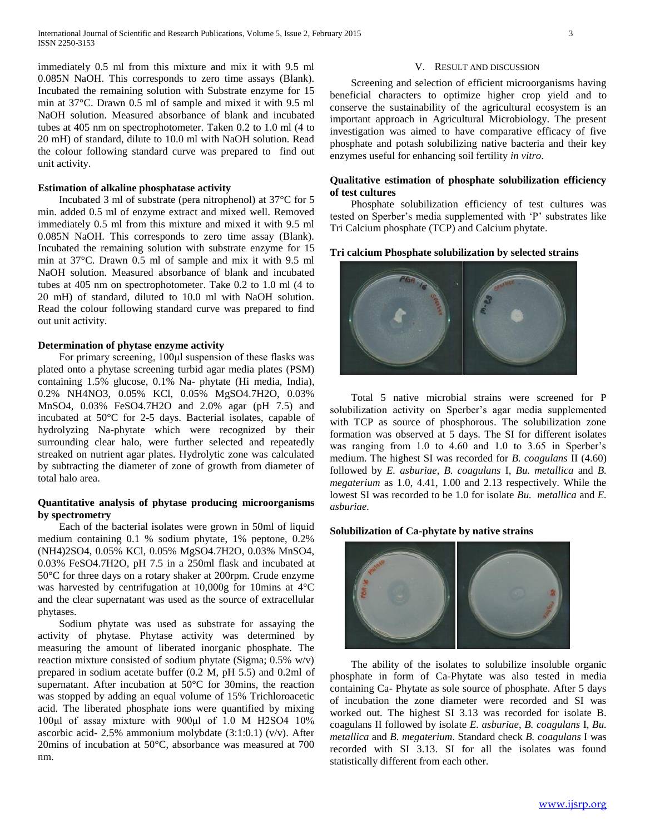immediately 0.5 ml from this mixture and mix it with 9.5 ml 0.085N NaOH. This corresponds to zero time assays (Blank). Incubated the remaining solution with Substrate enzyme for 15 min at 37°C. Drawn 0.5 ml of sample and mixed it with 9.5 ml NaOH solution. Measured absorbance of blank and incubated tubes at 405 nm on spectrophotometer. Taken 0.2 to 1.0 ml (4 to 20 mH) of standard, dilute to 10.0 ml with NaOH solution. Read the colour following standard curve was prepared to find out unit activity.

#### **Estimation of alkaline phosphatase activity**

 Incubated 3 ml of substrate (pera nitrophenol) at 37°C for 5 min. added 0.5 ml of enzyme extract and mixed well. Removed immediately 0.5 ml from this mixture and mixed it with 9.5 ml 0.085N NaOH. This corresponds to zero time assay (Blank). Incubated the remaining solution with substrate enzyme for 15 min at 37°C. Drawn 0.5 ml of sample and mix it with 9.5 ml NaOH solution. Measured absorbance of blank and incubated tubes at 405 nm on spectrophotometer. Take 0.2 to 1.0 ml (4 to 20 mH) of standard, diluted to 10.0 ml with NaOH solution. Read the colour following standard curve was prepared to find out unit activity.

#### **Determination of phytase enzyme activity**

 For primary screening, 100μl suspension of these flasks was plated onto a phytase screening turbid agar media plates (PSM) containing 1.5% glucose, 0.1% Na- phytate (Hi media, India), 0.2% NH4NO3, 0.05% KCl, 0.05% MgSO4.7H2O, 0.03% MnSO4, 0.03% FeSO4.7H2O and 2.0% agar (pH 7.5) and incubated at 50°C for 2-5 days. Bacterial isolates, capable of hydrolyzing Na-phytate which were recognized by their surrounding clear halo, were further selected and repeatedly streaked on nutrient agar plates. Hydrolytic zone was calculated by subtracting the diameter of zone of growth from diameter of total halo area.

## **Quantitative analysis of phytase producing microorganisms by spectrometry**

 Each of the bacterial isolates were grown in 50ml of liquid medium containing 0.1 % sodium phytate, 1% peptone, 0.2% (NH4)2SO4, 0.05% KCl, 0.05% MgSO4.7H2O, 0.03% MnSO4, 0.03% FeSO4.7H2O, pH 7.5 in a 250ml flask and incubated at 50°C for three days on a rotary shaker at 200rpm. Crude enzyme was harvested by centrifugation at 10,000g for 10mins at 4°C and the clear supernatant was used as the source of extracellular phytases.

 Sodium phytate was used as substrate for assaying the activity of phytase. Phytase activity was determined by measuring the amount of liberated inorganic phosphate. The reaction mixture consisted of sodium phytate (Sigma; 0.5% w/v) prepared in sodium acetate buffer (0.2 M, pH 5.5) and 0.2ml of supernatant. After incubation at 50°C for 30mins, the reaction was stopped by adding an equal volume of 15% Trichloroacetic acid. The liberated phosphate ions were quantified by mixing 100μl of assay mixture with 900μl of 1.0 M H2SO4 10% ascorbic acid- 2.5% ammonium molybdate (3:1:0.1) (v/v). After 20mins of incubation at 50°C, absorbance was measured at 700 nm.

#### V. RESULT AND DISCUSSION

 Screening and selection of efficient microorganisms having beneficial characters to optimize higher crop yield and to conserve the sustainability of the agricultural ecosystem is an important approach in Agricultural Microbiology. The present investigation was aimed to have comparative efficacy of five phosphate and potash solubilizing native bacteria and their key enzymes useful for enhancing soil fertility *in vitro*.

#### **Qualitative estimation of phosphate solubilization efficiency of test cultures**

 Phosphate solubilization efficiency of test cultures was tested on Sperber's media supplemented with 'P' substrates like Tri Calcium phosphate (TCP) and Calcium phytate.

#### **Tri calcium Phosphate solubilization by selected strains**



 Total 5 native microbial strains were screened for P solubilization activity on Sperber's agar media supplemented with TCP as source of phosphorous. The solubilization zone formation was observed at 5 days. The SI for different isolates was ranging from 1.0 to 4.60 and 1.0 to 3.65 in Sperber's medium. The highest SI was recorded for *B. coagulans* II (4.60) followed by *E. asburiae*, *B. coagulans* I, *Bu. metallica* and *B. megaterium* as 1.0, 4.41, 1.00 and 2.13 respectively. While the lowest SI was recorded to be 1.0 for isolate *Bu. metallica* and *E. asburiae.* 

#### **Solubilization of Ca-phytate by native strains**



 The ability of the isolates to solubilize insoluble organic phosphate in form of Ca-Phytate was also tested in media containing Ca- Phytate as sole source of phosphate. After 5 days of incubation the zone diameter were recorded and SI was worked out. The highest SI 3.13 was recorded for isolate B. coagulans II followed by isolate *E. asburiae*, *B. coagulans* I, *Bu. metallica* and *B. megaterium*. Standard check *B. coagulans* I was recorded with SI 3.13. SI for all the isolates was found statistically different from each other.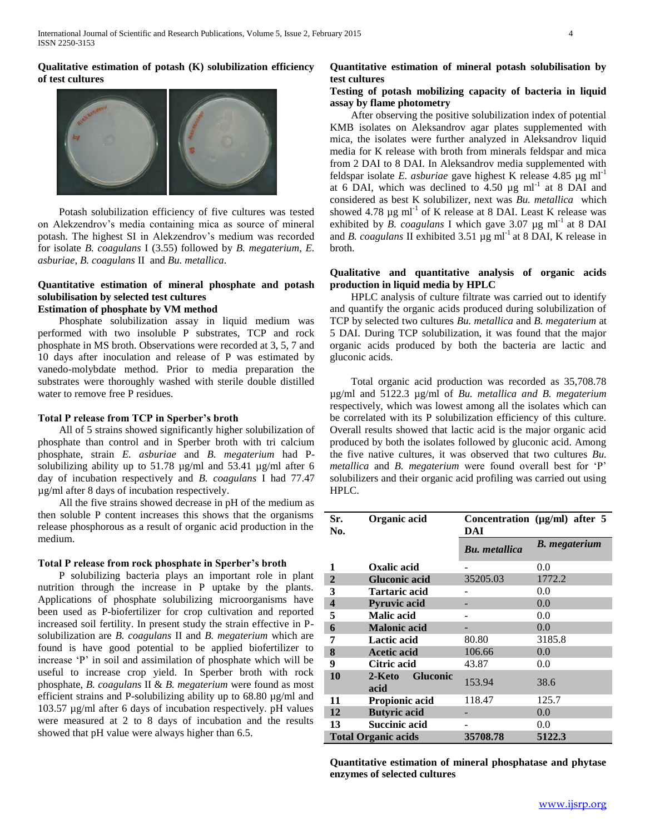# **Qualitative estimation of potash (K) solubilization efficiency of test cultures**



 Potash solubilization efficiency of five cultures was tested on Alekzendrov's media containing mica as source of mineral potash. The highest SI in Alekzendrov's medium was recorded for isolate *B. coagulans* I (3.55) followed by *B. megaterium*, *E. asburiae*, *B. coagulans* II and *Bu. metallica.*

### **Quantitative estimation of mineral phosphate and potash solubilisation by selected test cultures Estimation of phosphate by VM method**

 Phosphate solubilization assay in liquid medium was performed with two insoluble P substrates, TCP and rock phosphate in MS broth. Observations were recorded at 3, 5, 7 and 10 days after inoculation and release of P was estimated by vanedo-molybdate method. Prior to media preparation the substrates were thoroughly washed with sterile double distilled water to remove free P residues.

## **Total P release from TCP in Sperber's broth**

 All of 5 strains showed significantly higher solubilization of phosphate than control and in Sperber broth with tri calcium phosphate, strain *E. asburiae* and *B. megaterium* had Psolubilizing ability up to 51.78 µg/ml and 53.41 µg/ml after 6 day of incubation respectively and *B. coagulans* I had 77.47 µg/ml after 8 days of incubation respectively.

 All the five strains showed decrease in pH of the medium as then soluble P content increases this shows that the organisms release phosphorous as a result of organic acid production in the medium.

#### **Total P release from rock phosphate in Sperber's broth**

 P solubilizing bacteria plays an important role in plant nutrition through the increase in P uptake by the plants. Applications of phosphate solubilizing microorganisms have been used as P-biofertilizer for crop cultivation and reported increased soil fertility. In present study the strain effective in Psolubilization are *B. coagulans* II and *B. megaterium* which are found is have good potential to be applied biofertilizer to increase 'P' in soil and assimilation of phosphate which will be useful to increase crop yield. In Sperber broth with rock phosphate, *B. coagulans* II & *B. megaterium* were found as most efficient strains and P-solubilizing ability up to 68.80 µg/ml and 103.57 µg/ml after 6 days of incubation respectively. pH values were measured at 2 to 8 days of incubation and the results showed that pH value were always higher than 6.5.

# **Quantitative estimation of mineral potash solubilisation by test cultures**

## **Testing of potash mobilizing capacity of bacteria in liquid assay by flame photometry**

 After observing the positive solubilization index of potential KMB isolates on Aleksandrov agar plates supplemented with mica, the isolates were further analyzed in Aleksandrov liquid media for K release with broth from minerals feldspar and mica from 2 DAI to 8 DAI. In Aleksandrov media supplemented with feldspar isolate *E. asburiae* gave highest K release  $4.85 \mu g \text{ ml}^{-1}$ at 6 DAI, which was declined to  $4.50 \mu g$  ml<sup>-1</sup> at 8 DAI and considered as best K solubilizer, next was *Bu. metallica* which showed 4.78  $\mu$ g ml<sup>-1</sup> of K release at 8 DAI. Least K release was exhibited by *B. coagulans* I which gave  $3.07 \mu g \text{ ml}^{-1}$  at 8 DAI and *B. coagulans* II exhibited  $3.51 \mu g$  ml<sup>-1</sup> at 8 DAI, K release in broth.

# **Qualitative and quantitative analysis of organic acids production in liquid media by HPLC**

 HPLC analysis of culture filtrate was carried out to identify and quantify the organic acids produced during solubilization of TCP by selected two cultures *Bu. metallica* and *B. megaterium* at 5 DAI. During TCP solubilization, it was found that the major organic acids produced by both the bacteria are lactic and gluconic acids.

 Total organic acid production was recorded as 35,708.78 µg/ml and 5122.3 µg/ml of *Bu. metallica and B. megaterium*  respectively, which was lowest among all the isolates which can be correlated with its P solubilization efficiency of this culture. Overall results showed that lactic acid is the major organic acid produced by both the isolates followed by gluconic acid. Among the five native cultures, it was observed that two cultures *Bu. metallica* and *B. megaterium* were found overall best for 'P' solubilizers and their organic acid profiling was carried out using HPLC.

| Sr.<br>No.                 | Organic acid<br>DAI               |                      | Concentration ( $\mu$ g/ml) after 5 |
|----------------------------|-----------------------------------|----------------------|-------------------------------------|
|                            |                                   | <b>Bu.</b> metallica | <b>B.</b> megaterium                |
| 1                          | Oxalic acid                       |                      | 0.0                                 |
| $\overline{2}$             | <b>Gluconic acid</b>              | 35205.03             | 1772.2                              |
| 3                          | <b>Tartaric acid</b>              |                      | 0.0                                 |
| $\overline{\mathbf{4}}$    | <b>Pyruvic acid</b>               |                      | 0.0                                 |
| 5                          | Malic acid                        |                      | 0.0                                 |
| 6                          | <b>Malonic acid</b>               |                      | 0.0                                 |
| 7                          | Lactic acid                       | 80.80                | 3185.8                              |
| 8                          | <b>Acetic acid</b>                | 106.66               | 0.0                                 |
| 9                          | Citric acid                       | 43.87                | 0.0                                 |
| 10                         | <b>Gluconic</b><br>2-Keto<br>acid | 153.94               | 38.6                                |
| 11                         | Propionic acid                    | 118.47               | 125.7                               |
| 12                         | <b>Butyric</b> acid               |                      | 0.0                                 |
| 13                         | <b>Succinic acid</b>              |                      | 0.0                                 |
| <b>Total Organic acids</b> |                                   | 35708.78             | 5122.3                              |

**Quantitative estimation of mineral phosphatase and phytase enzymes of selected cultures**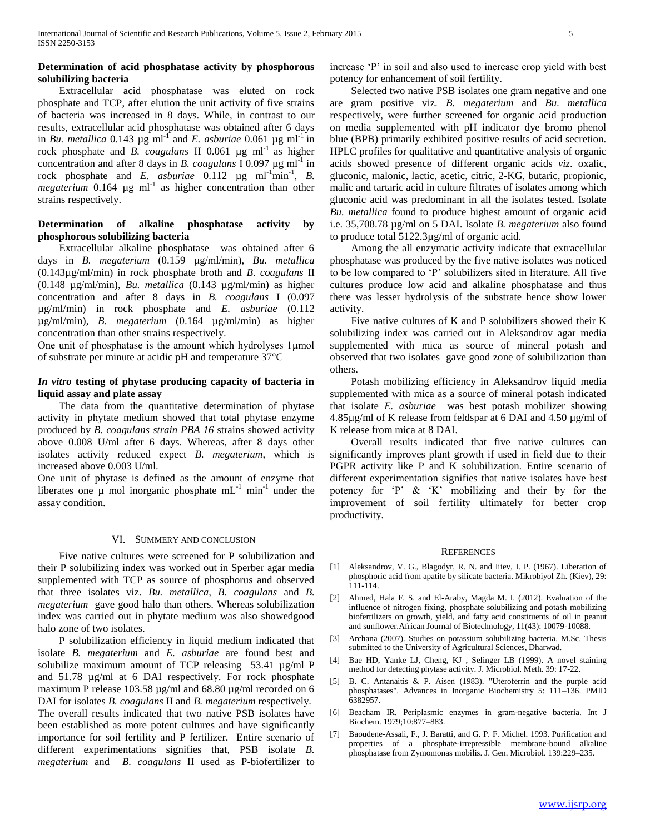## **Determination of acid phosphatase activity by phosphorous solubilizing bacteria**

 Extracellular acid phosphatase was eluted on rock phosphate and TCP, after elution the unit activity of five strains of bacteria was increased in 8 days. While, in contrast to our results, extracellular acid phosphatase was obtained after 6 days in *Bu. metallica* 0.143  $\mu$ g ml<sup>-1</sup> and *E. asburiae* 0.061  $\mu$ g ml<sup>-1</sup> in rock phosphate and *B. coagulans* II 0.061 µg ml<sup>-1</sup> as higher concentration and after 8 days in *B. coagulans*  $I$  0.097  $\mu$ g ml<sup>-1</sup> in rock phosphate and *E. asburiae*  $0.112 \text{ µg ml}^{-1} \text{min}^{-1}$ , *B.*  $megaterium$  0.164  $\mu$ g ml<sup>-1</sup> as higher concentration than other strains respectively.

## **Determination of alkaline phosphatase activity by phosphorous solubilizing bacteria**

 Extracellular alkaline phosphatase was obtained after 6 days in *B. megaterium* (0.159 µg/ml/min), *Bu. metallica* (0.143µg/ml/min) in rock phosphate broth and *B. coagulans* II (0.148 µg/ml/min), *Bu. metallica* (0.143 µg/ml/min) as higher concentration and after 8 days in *B. coagulans* I (0.097 µg/ml/min) in rock phosphate and *E. asburiae* (0.112 µg/ml/min), *B. megaterium* (0.164 µg/ml/min) as higher concentration than other strains respectively.

One unit of phosphatase is the amount which hydrolyses 1μmol of substrate per minute at acidic pH and temperature 37°C

## *In vitro* **testing of phytase producing capacity of bacteria in liquid assay and plate assay**

 The data from the quantitative determination of phytase activity in phytate medium showed that total phytase enzyme produced by *B. coagulans strain PBA 16* strains showed activity above 0.008 U/ml after 6 days. Whereas, after 8 days other isolates activity reduced expect *B. megaterium*, which is increased above 0.003 U/ml.

One unit of phytase is defined as the amount of enzyme that liberates one  $\mu$  mol inorganic phosphate mL<sup>-1</sup> min<sup>-1</sup> under the assay condition.

#### VI. SUMMERY AND CONCLUSION

 Five native cultures were screened for P solubilization and their P solubilizing index was worked out in Sperber agar media supplemented with TCP as source of phosphorus and observed that three isolates viz. *Bu. metallica, B. coagulans* and *B. megaterium* gave good halo than others. Whereas solubilization index was carried out in phytate medium was also showedgood halo zone of two isolates.

 P solubilization efficiency in liquid medium indicated that isolate *B. megaterium* and *E. asburiae* are found best and solubilize maximum amount of TCP releasing 53.41 µg/ml P and 51.78 µg/ml at 6 DAI respectively. For rock phosphate maximum P release 103.58 µg/ml and 68.80 µg/ml recorded on 6 DAI for isolates *B. coagulans* II and *B. megaterium* respectively. The overall results indicated that two native PSB isolates have been established as more potent cultures and have significantly importance for soil fertility and P fertilizer. Entire scenario of different experimentations signifies that, PSB isolate *B. megaterium* and *B. coagulans* II used as P-biofertilizer to

increase 'P' in soil and also used to increase crop yield with best potency for enhancement of soil fertility.

 Selected two native PSB isolates one gram negative and one are gram positive viz. *B. megaterium* and *Bu. metallica*  respectively, were further screened for organic acid production on media supplemented with pH indicator dye bromo phenol blue (BPB) primarily exhibited positive results of acid secretion. HPLC profiles for qualitative and quantitative analysis of organic acids showed presence of different organic acids *viz*. oxalic, gluconic, malonic, lactic, acetic, citric, 2-KG, butaric, propionic, malic and tartaric acid in culture filtrates of isolates among which gluconic acid was predominant in all the isolates tested. Isolate *Bu. metallica* found to produce highest amount of organic acid i.e. 35,708.78 µg/ml on 5 DAI. Isolate *B. megaterium* also found to produce total 5122.3µg/ml of organic acid.

 Among the all enzymatic activity indicate that extracellular phosphatase was produced by the five native isolates was noticed to be low compared to 'P' solubilizers sited in literature. All five cultures produce low acid and alkaline phosphatase and thus there was lesser hydrolysis of the substrate hence show lower activity.

 Five native cultures of K and P solubilizers showed their K solubilizing index was carried out in Aleksandrov agar media supplemented with mica as source of mineral potash and observed that two isolates gave good zone of solubilization than others.

 Potash mobilizing efficiency in Aleksandrov liquid media supplemented with mica as a source of mineral potash indicated that isolate *E. asburiae* was best potash mobilizer showing 4.85µg/ml of K release from feldspar at 6 DAI and 4.50 µg/ml of K release from mica at 8 DAI.

 Overall results indicated that five native cultures can significantly improves plant growth if used in field due to their PGPR activity like P and K solubilization. Entire scenario of different experimentation signifies that native isolates have best potency for 'P' & 'K' mobilizing and their by for the improvement of soil fertility ultimately for better crop productivity.

#### **REFERENCES**

- [1] Aleksandrov, V. G., Blagodyr, R. N. and Iiiev, I. P. (1967). Liberation of phosphoric acid from apatite by silicate bacteria. Mikrobiyol Zh. (Kiev), 29: 111-114.
- [2] Ahmed, Hala F. S. and El-Araby, Magda M. I. (2012). Evaluation of the influence of nitrogen fixing, phosphate solubilizing and potash mobilizing biofertilizers on growth, yield, and fatty acid constituents of oil in peanut and sunflower.African Journal of Biotechnology, 11(43): 10079-10088.
- [3] Archana (2007). Studies on potassium solubilizing bacteria. M.Sc. Thesis submitted to the University of Agricultural Sciences, Dharwad.
- [4] Bae HD, Yanke LJ, Cheng, KJ , Selinger LB (1999). A novel staining method for detecting phytase activity. J. Microbiol. Meth. 39: 17-22.
- [5] B. C. Antanaitis & P. Aisen (1983). "Uteroferrin and the purple acid phosphatases". Advances in Inorganic Biochemistry 5: 111–136. PMID 6382957.
- [6] Beacham IR. Periplasmic enzymes in gram-negative bacteria. Int J Biochem. 1979;10:877–883.
- [7] Baoudene-Assali, F., J. Baratti, and G. P. F. Michel. 1993. Purification and properties of a phosphate-irrepressible membrane-bound alkaline phosphatase from Zymomonas mobilis. J. Gen. Microbiol. 139:229–235.